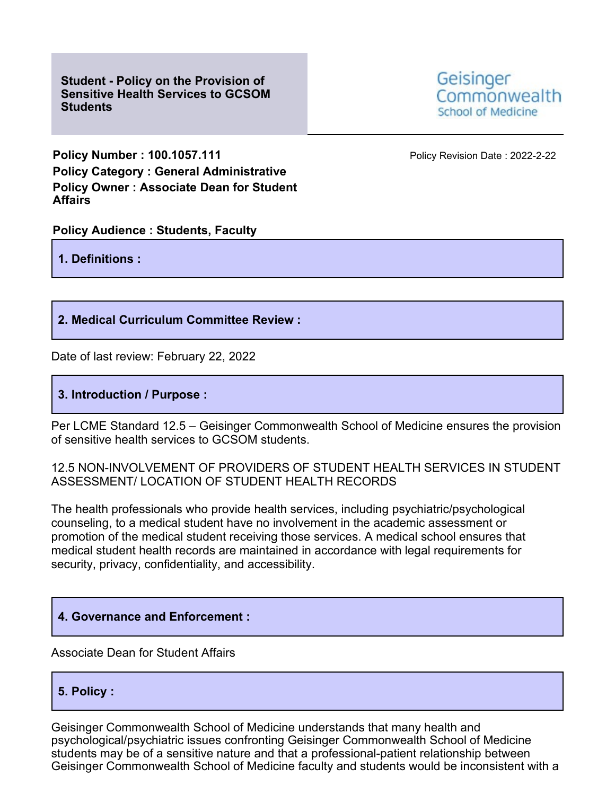**Student - Policy on the Provision of Sensitive Health Services to GCSOM Students**



**Policy Number : 100.1057.111 Policy Revision Date : 2022-2-22 Policy Category : General Administrative Policy Owner : Associate Dean for Student Affairs**

**Policy Audience : Students, Faculty**

**1. Definitions :**

### **2. Medical Curriculum Committee Review :**

Date of last review: February 22, 2022

### **3. Introduction / Purpose :**

Per LCME Standard 12.5 – Geisinger Commonwealth School of Medicine ensures the provision of sensitive health services to GCSOM students.

### 12.5 NON-INVOLVEMENT OF PROVIDERS OF STUDENT HEALTH SERVICES IN STUDENT ASSESSMENT/ LOCATION OF STUDENT HEALTH RECORDS

The health professionals who provide health services, including psychiatric/psychological counseling, to a medical student have no involvement in the academic assessment or promotion of the medical student receiving those services. A medical school ensures that medical student health records are maintained in accordance with legal requirements for security, privacy, confidentiality, and accessibility.

# **4. Governance and Enforcement :**

Associate Dean for Student Affairs

# **5. Policy :**

Geisinger Commonwealth School of Medicine understands that many health and psychological/psychiatric issues confronting Geisinger Commonwealth School of Medicine students may be of a sensitive nature and that a professional-patient relationship between Geisinger Commonwealth School of Medicine faculty and students would be inconsistent with a